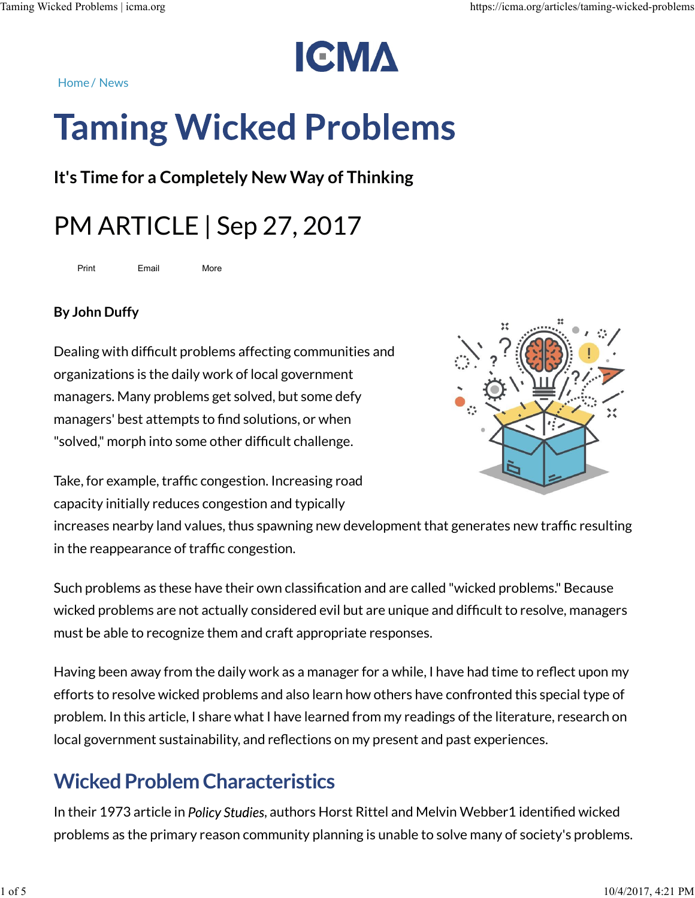Taming Wicked Problems | icma.org<br>
https://icma.org/articles/taming-wicked-problems<br>
Home / Nous

# Red Problems | icma.org<br>Home / News<br>Taming Wicked Problems

It's Time for a Completely New Way of Thinking

# PM ARTICLE | Sep 27, 2017

Print Email More

### By John Duffy

Dealing with difficult problems affecting communities and organizations is the daily work of local government managers. Many problems get solved, but some defy managers' best attempts to find solutions, or when "solved," morph into some other difficult challenge.



Take, for example, traffic congestion. Increasing road capacity initially reduces congestion and typically

increases nearby land values, thus spawning new development that generates new traffic resulting in the reappearance of traffic congestion.

Such problems as these have their own classification and are called "wicked problems." Because wicked problems are not actually considered evil but are unique and difficult to resolve, managers must be able to recognize them and craft appropriate responses.

Having been away from the daily work as a manager for a while, I have had time to reflect upon my efforts to resolve wicked problems and also learn how others have confronted this special type of problem. In this article, I share what I have learned from my readings of the literature, research on local government sustainability, and reflections on my present and past experiences. wicked problems are not actually considered evil but are unique and difficult to resolve, managers<br>must be able to recognize them and craft appropriate responses.<br>Having been away from the daily work as a manager for a whi

# Wicked Problem Characteristics

In their 1973 article in Policy Studies, authors Horst Rittel and Melvin Webber1 identified wicked problems as the primary reason community planning is unable to solve many of society's problems.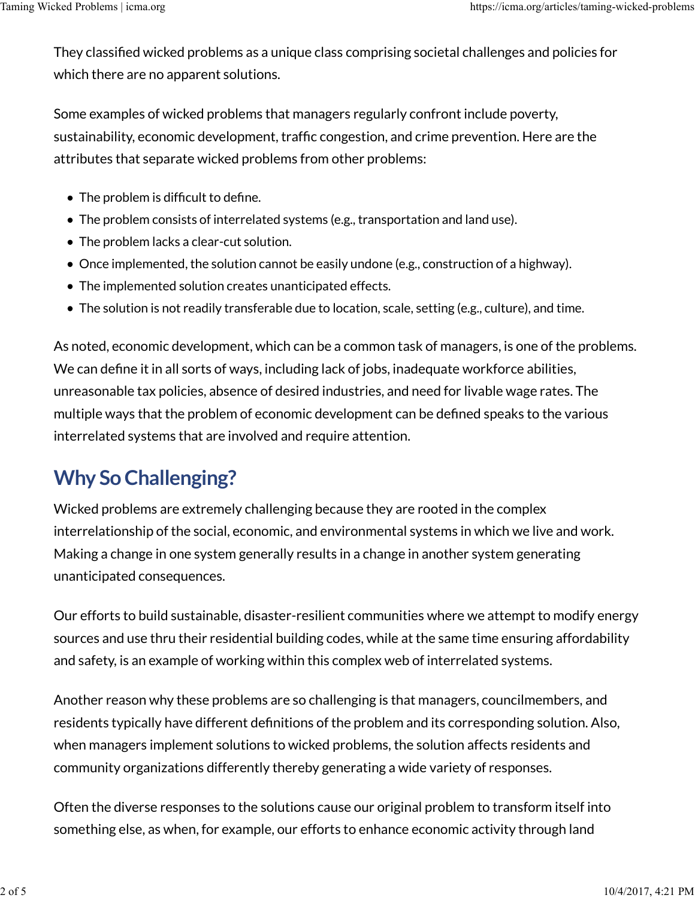They classified wicked problems as a unique class comprising societal challenges and policies for which there are no apparent solutions. Taming Wicked Problems | icma.org<br>
They classified wicked problems as a unique class comprising societal challenges and policies for<br>
which there are no apparent solutions.

Some examples of wicked problems that managers regularly confront include poverty, sustainability, economic development, traffic congestion, and crime prevention. Here are the attributes that separate wicked problems from other problems:

- The problem is difficult to define.
- The problem consists of interrelated systems (e.g., transportation and land use).
- The problem lacks a clear-cut solution.
- Once implemented, the solution cannot be easily undone (e.g., construction of a highway).
- The implemented solution creates unanticipated effects.
- The solution is not readily transferable due to location, scale, setting (e.g., culture), and time.

As noted, economic development, which can be a common task of managers, is one of the problems. We can define it in all sorts of ways, including lack of jobs, inadequate workforce abilities, unreasonable tax policies, absence of desired industries, and need for livable wage rates. The multiple ways that the problem of economic development can be defined speaks to the various interrelated systems that are involved and require attention.

# Why So Challenging?

Wicked problems are extremely challenging because they are rooted in the complex interrelationship of the social, economic, and environmental systems in which we live and work. Making a change in one system generally results in a change in another system generating unanticipated consequences.

Our efforts to build sustainable, disaster-resilient communities where we attempt to modify energy sources and use thru their residential building codes, while at the same time ensuring affordability and safety, is an example of working within this complex web of interrelated systems.

Another reason why these problems are so challenging is that managers, councilmembers, and residents typically have different definitions of the problem and its corresponding solution. Also, when managers implement solutions to wicked problems, the solution affects residents and community organizations differently thereby generating a wide variety of responses. Our efforts to build sustainable, disaster-resilient communities where we attempt to modify energy<br>sources and use thru their residential building codes, while at the same time ensuring affordability<br>and safety, is an exam

Often the diverse responses to the solutions cause our original problem to transform itself into something else, as when, for example, our efforts to enhance economic activity through land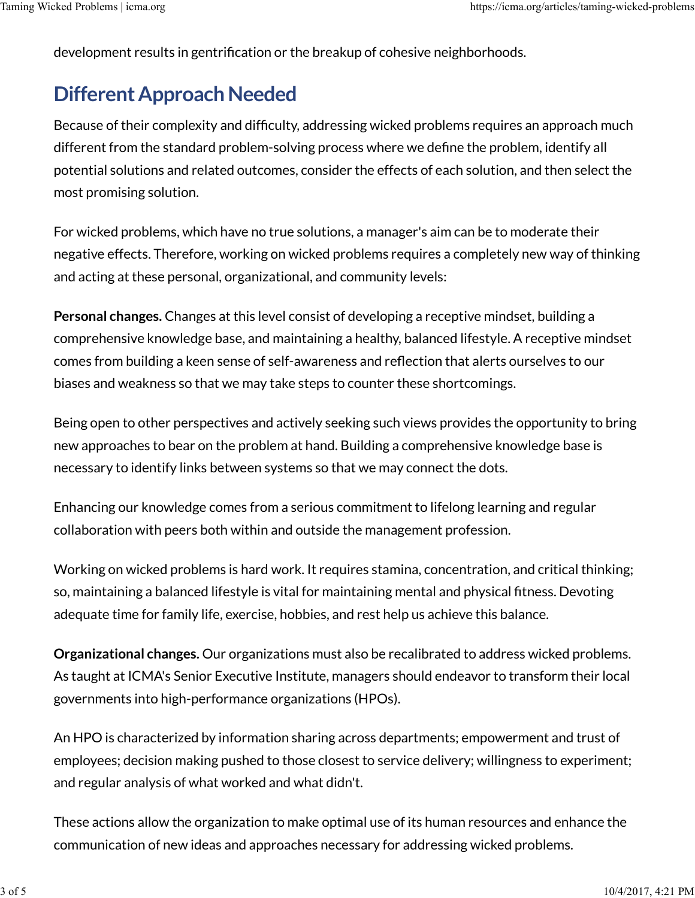development results in gentrification or the breakup of cohesive neighborhoods. Taming Wicked Problems | icma.org<br>
development results in gentrification or the breakup of cohesive neighborhoods.<br>
development results in gentrification or the breakup of cohesive neighborhoods.

### Different Approach Needed

Because of their complexity and difficulty, addressing wicked problems requires an approach much different from the standard problem-solving process where we define the problem, identify all potential solutions and related outcomes, consider the effects of each solution, and then select the most promising solution.

For wicked problems, which have no true solutions, a manager's aim can be to moderate their negative effects. Therefore, working on wicked problems requires a completely new way of thinking and acting at these personal, organizational, and community levels:

Personal changes. Changes at this level consist of developing a receptive mindset, building a comprehensive knowledge base, and maintaining a healthy, balanced lifestyle. A receptive mindset comes from building a keen sense of self-awareness and reflection that alerts ourselves to our biases and weakness so that we may take steps to counter these shortcomings.

Being open to other perspectives and actively seeking such views provides the opportunity to bring new approaches to bear on the problem at hand. Building a comprehensive knowledge base is necessary to identify links between systems so that we may connect the dots.

Enhancing our knowledge comes from a serious commitment to lifelong learning and regular collaboration with peers both within and outside the management profession.

Working on wicked problems is hard work. It requires stamina, concentration, and critical thinking; so, maintaining a balanced lifestyle is vital for maintaining mental and physical fitness. Devoting adequate time for family life, exercise, hobbies, and rest help us achieve this balance.

Organizational changes. Our organizations must also be recalibrated to address wicked problems. As taught at ICMA's Senior Executive Institute, managers should endeavor to transform their local governments into high-performance organizations (HPOs). adequate time for family life, exercise, hobbies, and rest help us achieve this balance.<br> **Organizational changes.** Our organizations must also be recalibrated to address wicked problems.<br>
As taught at ICMA's Senior Execut

An HPO is characterized by information sharing across departments; empowerment and trust of employees; decision making pushed to those closest to service delivery; willingness to experiment; and regular analysis of what worked and what didn't.

These actions allow the organization to make optimal use of its human resources and enhance the communication of new ideas and approaches necessary for addressing wicked problems.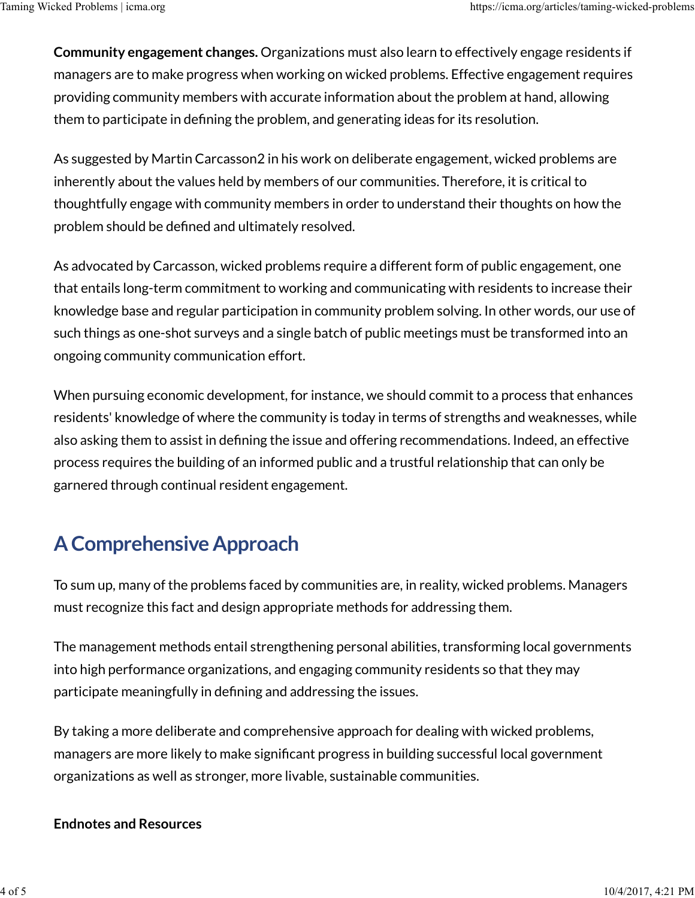Community engagement changes. Organizations must also learn to effectively engage residents if managers are to make progress when working on wicked problems. Effective engagement requires providing community members with accurate information about the problem at hand, allowing them to participate in defining the problem, and generating ideas for its resolution. Taming Wicked Problems | icma.org<br>https://icma.org/articles/taming-wicked-problems<br>**Community engagement changes.** Organizations must also learn to effectively engage residents if<br>managers are to make progress when working

As suggested by Martin Carcasson2 in his work on deliberate engagement, wicked problems are inherently about the values held by members of our communities. Therefore, it is critical to thoughtfully engage with community members in order to understand their thoughts on how the problem should be defined and ultimately resolved.

As advocated by Carcasson, wicked problems require a different form of public engagement, one that entails long-term commitment to working and communicating with residents to increase their knowledge base and regular participation in community problem solving. In other words, our use of such things as one-shot surveys and a single batch of public meetings must be transformed into an ongoing community communication effort.

When pursuing economic development, for instance, we should commit to a process that enhances residents' knowledge of where the community is today in terms of strengths and weaknesses, while also asking them to assist in defining the issue and offering recommendations. Indeed, an effective process requires the building of an informed public and a trustful relationship that can only be garnered through continual resident engagement.

### A Comprehensive Approach

To sum up, many of the problems faced by communities are, in reality, wicked problems. Managers must recognize this fact and design appropriate methods for addressing them.

The management methods entail strengthening personal abilities, transforming local governments into high performance organizations, and engaging community residents so that they may participate meaningfully in defining and addressing the issues. must recognize this fact and design appropriate methods for addressing them.<br>
The management methods entail strengthening personal abilities, transforming local governments<br>
into high performance organizations, and engagin

By taking a more deliberate and comprehensive approach for dealing with wicked problems, managers are more likely to make significant progress in building successful local government organizations as well as stronger, more livable, sustainable communities.

### Endnotes and Resources